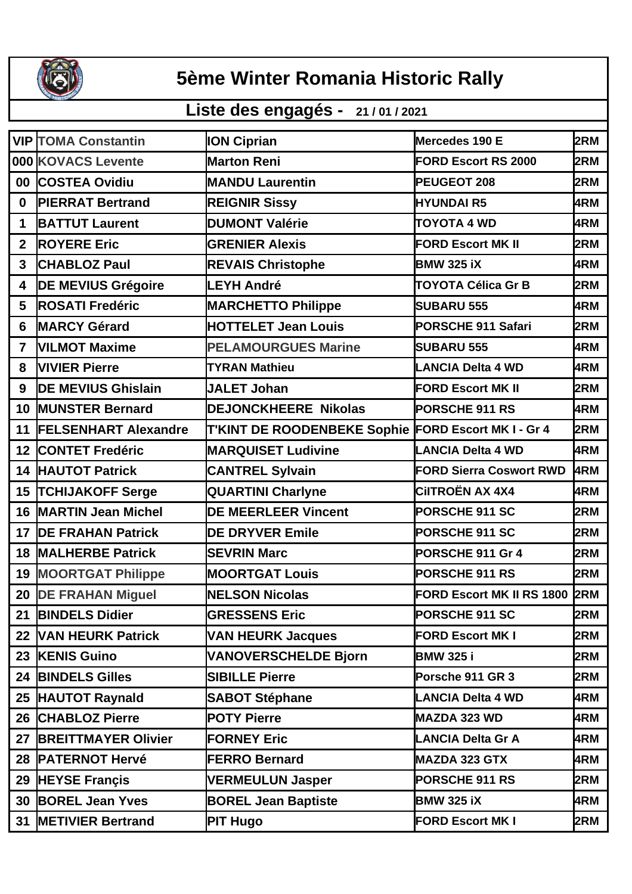

## **5ème Winter Romania Historic Rally**

## **Liste des engagés - 21 / 01 / 2021**

|                | <b>VIP TOMA Constantin</b>  | <b>ION Ciprian</b>                 | Mercedes 190 E                 | 2RM |
|----------------|-----------------------------|------------------------------------|--------------------------------|-----|
|                | 000 KOVACS Levente          | <b>Marton Reni</b>                 | <b>FORD Escort RS 2000</b>     | 2RM |
| 00             | <b>COSTEA Ovidiu</b>        | <b>MANDU Laurentin</b>             | PEUGEOT 208                    | 2RM |
| $\mathbf{0}$   | <b>PIERRAT Bertrand</b>     | <b>REIGNIR Sissy</b>               | <b>HYUNDAI R5</b>              | 4RM |
| $\mathbf 1$    | <b>BATTUT Laurent</b>       | <b>DUMONT Valérie</b>              | <b>TOYOTA 4 WD</b>             | 4RM |
| $\overline{2}$ | <b>ROYERE Eric</b>          | <b>GRENIER Alexis</b>              | <b>FORD Escort MK II</b>       | 2RM |
| 3              | <b>CHABLOZ Paul</b>         | <b>REVAIS Christophe</b>           | <b>BMW 325 iX</b>              | 4RM |
| 4              | <b>DE MEVIUS Grégoire</b>   | <b>LEYH André</b>                  | <b>TOYOTA Célica Gr B</b>      | 2RM |
| 5              | <b>ROSATI Fredéric</b>      | <b>MARCHETTO Philippe</b>          | <b>SUBARU 555</b>              | 4RM |
| 6              | <b>MARCY Gérard</b>         | <b>HOTTELET Jean Louis</b>         | <b>PORSCHE 911 Safari</b>      | 2RM |
| 7              | <b>VILMOT Maxime</b>        | <b>PELAMOURGUES Marine</b>         | <b>SUBARU 555</b>              | 4RM |
| 8              | <b>VIVIER Pierre</b>        | <b>TYRAN Mathieu</b>               | <b>LANCIA Delta 4 WD</b>       | 4RM |
| 9              | <b>DE MEVIUS Ghislain</b>   | <b>JALET Johan</b>                 | <b>FORD Escort MK II</b>       | 2RM |
| 10             | <b>MUNSTER Bernard</b>      | <b>DEJONCKHEERE Nikolas</b>        | PORSCHE 911 RS                 | 4RM |
| 11             | <b>FELSENHART Alexandre</b> | <b>T'KINT DE ROODENBEKE Sophie</b> | <b>FORD Escort MK I - Gr 4</b> | 2RM |
| 12             | <b>CONTET Fredéric</b>      | <b>MARQUISET Ludivine</b>          | <b>LANCIA Delta 4 WD</b>       | 4RM |
| 14             | <b>HAUTOT Patrick</b>       | <b>CANTREL Sylvain</b>             | <b>FORD Sierra Coswort RWD</b> | 4RM |
| 15             | <b>TCHIJAKOFF Serge</b>     | <b>QUARTINI Charlyne</b>           | <b>CIITROËN AX 4X4</b>         | 4RM |
| 16             | <b>MARTIN Jean Michel</b>   | <b>DE MEERLEER Vincent</b>         | PORSCHE 911 SC                 | 2RM |
| 17             | <b>DE FRAHAN Patrick</b>    | <b>DE DRYVER Emile</b>             | PORSCHE 911 SC                 | 2RM |
| 18             | <b>MALHERBE Patrick</b>     | <b>SEVRIN Marc</b>                 | PORSCHE 911 Gr 4               | 2RM |
| 19             | <b>MOORTGAT Philippe</b>    | <b>MOORTGAT Louis</b>              | <b>PORSCHE 911 RS</b>          | 2RM |
| 20             | <b>DE FRAHAN Miguel</b>     | <b>NELSON Nicolas</b>              | FORD Escort MK II RS 1800 2RM  |     |
| 21             | <b>BINDELS Didier</b>       | <b>GRESSENS Eric</b>               | PORSCHE 911 SC                 | 2RM |
| 22             | <b>VAN HEURK Patrick</b>    | <b>VAN HEURK Jacques</b>           | <b>FORD Escort MK I</b>        | 2RM |
| 23             | <b>KENIS Guino</b>          | <b>VANOVERSCHELDE Bjorn</b>        | <b>BMW 325 i</b>               | 2RM |
|                | 24 BINDELS Gilles           | <b>SIBILLE Pierre</b>              | Porsche 911 GR 3               | 2RM |
| 25             | <b>HAUTOT Raynald</b>       | <b>SABOT Stéphane</b>              | <b>LANCIA Delta 4 WD</b>       | 4RM |
| 26             | <b>CHABLOZ Pierre</b>       | <b>POTY Pierre</b>                 | <b>MAZDA 323 WD</b>            | 4RM |
| 27             | <b>BREITTMAYER Olivier</b>  | <b>FORNEY Eric</b>                 | <b>LANCIA Delta Gr A</b>       | 4RM |
| 28             | <b>PATERNOT Hervé</b>       | <b>FERRO Bernard</b>               | <b>MAZDA 323 GTX</b>           | 4RM |
| 29             | <b>HEYSE Françis</b>        | <b>VERMEULUN Jasper</b>            | PORSCHE 911 RS                 | 2RM |
| 30             | <b>BOREL Jean Yves</b>      | <b>BOREL Jean Baptiste</b>         | <b>BMW 325 iX</b>              | 4RM |
| 31             | <b>METIVIER Bertrand</b>    | <b>PIT Hugo</b>                    | <b>FORD Escort MK I</b>        | 2RM |